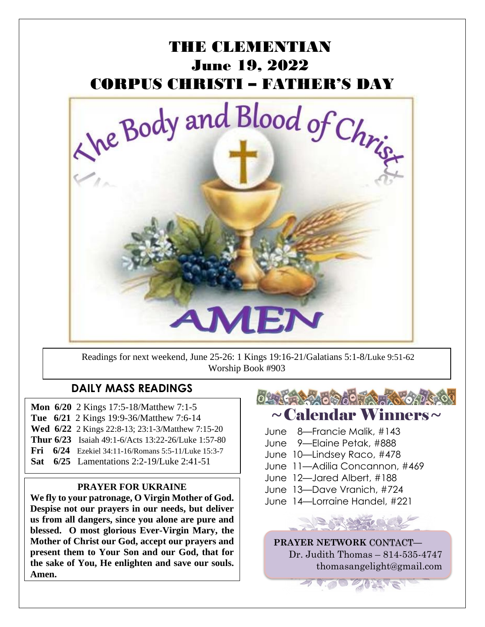

Readings for next weekend, June 25-26: 1 Kings 19:16-21/Galatians 5:1-8/Luke 9:51-62 Worship Book #903

#### **DAILY MASS READINGS**

- **Mon 6/20** 2 Kings 17:5-18/Matthew 7:1-5
- **Tue 6/21** 2 Kings 19:9-36/Matthew 7:6-14 **Wed 6/22** 2 Kings 22:8-13; 23:1-3/Matthew 7:15-20
- **Thur 6/23** Isaiah 49:1-6/Acts 13:22-26/Luke 1:57-80
- **Fri 6/24** Ezekiel 34:11-16/Romans 5:5-11/Luke 15:3-7
- 
- **Sat 6/25** Lamentations 2:2-19/Luke 2:41-51

#### **PRAYER FOR UKRAINE**

**We fly to your patronage, O Virgin Mother of God. Despise not our prayers in our needs, but deliver us from all dangers, since you alone are pure and blessed. O most glorious Ever-Virgin Mary, the Mother of Christ our God, accept our prayers and present them to Your Son and our God, that for the sake of You, He enlighten and save our souls. Amen.**

# **AND AND COLLECTION**

## $\sim$  Calendar Winners  $\sim$

- June 8—Francie Malik, #143
- June 9—Elaine Petak, #888
- June 10—Lindsey Raco, #478
- June 11—Adilia Concannon, #469
- June 12—Jared Albert, #188
- June 13—Dave Vranich, #724
- June 14—Lorraine Handel, #221



**PRAYER NETWORK** CONTACT**—** Dr. Judith Thomas – 814-535-4747 thomasangelight@gmail.com